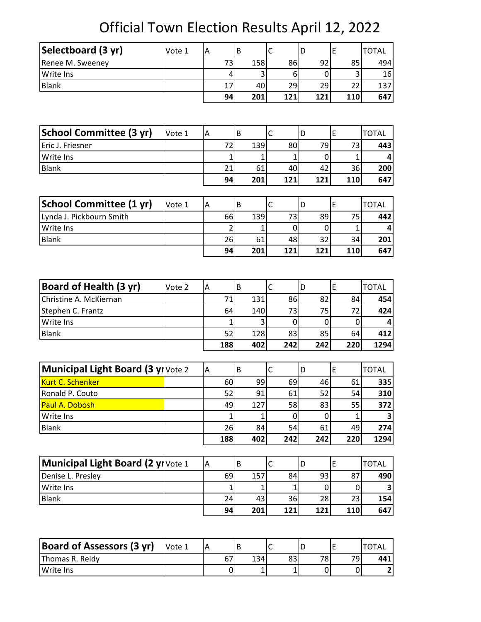| Selectboard (3 yr) | Vote 1 |    | В   |     | D   |     | <b>TOTAL</b> |
|--------------------|--------|----|-----|-----|-----|-----|--------------|
| Renee M. Sweeney   |        | 73 | 158 | 86  | 92  | 85  | 494          |
| <b>Write Ins</b>   |        |    |     |     |     |     | 16           |
| Blank              |        | 17 | 40  | 29  | 29  |     | 137          |
|                    |        | 94 | 201 | 121 | 121 | 110 | 647          |

| School Committee (3 yr) | Vote 1 |    |     | ╰   |                 |      | <b>TOTAL</b> |
|-------------------------|--------|----|-----|-----|-----------------|------|--------------|
| Eric J. Friesner        |        | 72 | 139 | 80  | 79I             | 73 I | 443          |
| <b>Write Ins</b>        |        |    |     |     |                 |      |              |
| <b>Blank</b>            |        | 21 | 61  | 40  | 42 <sub>1</sub> | 36   | 200          |
|                         |        | 94 | 201 | 121 | 121             | 110  | 647          |

| <b>School Committee (1 yr)</b> | Vote 1 |           |     |     |     |     | TOTAL |
|--------------------------------|--------|-----------|-----|-----|-----|-----|-------|
| Lynda J. Pickbourn Smith       |        | <b>66</b> | 139 |     | 89  | 75  | 442   |
| Write Ins                      |        |           |     |     |     |     | Δ     |
| <b>Blank</b>                   |        | 26        | 61  | 48  | 32  | 34  | 201   |
|                                |        | 94        | 201 | 121 | 121 | 110 | 647   |

| Board of Health (3 yr) | Vote 2 |     | В   | ◟   |     |     | TOTAL |
|------------------------|--------|-----|-----|-----|-----|-----|-------|
| Christine A. McKiernan |        |     | 131 | 86  | 82  | 84  | 454   |
| Stephen C. Frantz      |        | 64  | 140 | 73. | 75  | 72  | 424   |
| Write Ins              |        |     |     |     |     |     |       |
| Blank                  |        | 52  | 128 | 83  | 85  | 64  | 412   |
|                        |        | 188 | 402 | 242 | 242 | 220 | 1294  |

| <b>Municipal Light Board (3 yr</b> Vote 2 | А   | В   |     | D   |     | <b>TOTAL</b> |
|-------------------------------------------|-----|-----|-----|-----|-----|--------------|
| <b>Kurt C. Schenker</b>                   | 60  | 99  | 69  | 46  | 61  | 335          |
| Ronald P. Couto                           | 52  | 91. | 61  | 52  | 54  | 310          |
| <b>Paul A. Dobosh</b>                     | 49  | 127 | 58  | 83  | 55  | 372          |
| <b>Write Ins</b>                          |     |     |     |     |     | 3            |
| <b>Blank</b>                              | 26  | 84  | 54  | 61  | 49  | 274          |
|                                           | 188 | 402 | 242 | 242 | 220 | 1294         |

| <b>Municipal Light Board (2 yr</b> Vote 1 |                 |                 | ╰   |     |            | TOTAL |
|-------------------------------------------|-----------------|-----------------|-----|-----|------------|-------|
| Denise L. Presley                         | 69              | 157             | 84  | 93  | 87         | 490   |
| Write Ins                                 |                 |                 |     |     |            |       |
| Blank                                     | 24              | 43 <sub>1</sub> | 36  | 28  | 23         | 154   |
|                                           | 94 <sub>1</sub> | 201             | 121 | 121 | <b>110</b> | 647   |

| <b>Board of Assessors (3 yr)</b> | Vote 1 |    |     | ∼ |                 |     |
|----------------------------------|--------|----|-----|---|-----------------|-----|
| Thomas R. Reidy                  |        | 67 | 134 |   | 70 <sub>1</sub> | 441 |
| Write Ins                        |        |    |     |   |                 |     |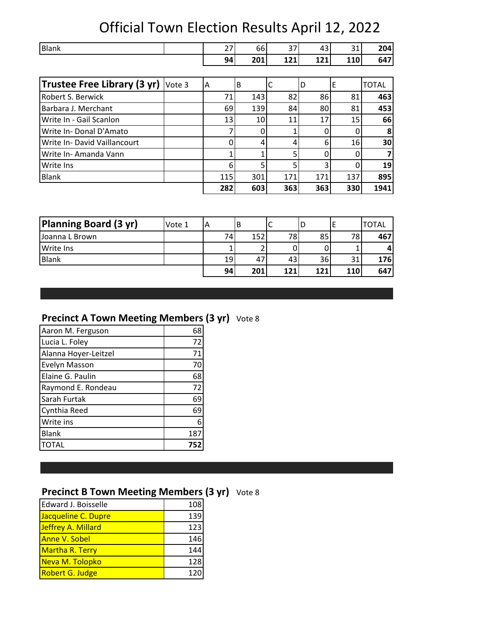| <b>Blank</b>                 |        | 27  | 66  | 37  | 43  | 31  | 204          |
|------------------------------|--------|-----|-----|-----|-----|-----|--------------|
|                              |        | 94  | 201 | 121 | 121 | 110 | 647          |
|                              |        |     |     |     |     |     |              |
| Trustee Free Library (3 yr)  | Vote 3 | A   | B   | IC  | D   | E   | <b>TOTAL</b> |
| Robert S. Berwick            |        | 71  | 143 | 82  | 86  | 81  | 463          |
| Barbara J. Merchant          |        | 69  | 139 | 84  | 80  | 81  | 453          |
| Write In - Gail Scanlon      |        | 13  | 10  | 11  | 17  | 15  | 66           |
| Write In- Donal D'Amato      |        |     |     |     | 0   | 0   | 8            |
| Write In- David Vaillancourt |        | 0   |     | 4   | 6   | 16  | 30           |
| Write In-Amanda Vann         |        |     |     | 5   | 0   | 0   |              |
| Write Ins                    |        | 6   | 5   | 5   | 3   | ი   | 19           |
| <b>Blank</b>                 |        | 115 | 301 | 171 | 171 | 137 | 895          |
|                              |        | 282 | 603 | 363 | 363 | 330 | 1941         |

| Planning Board (3 yr) | Vote 1 |    |     | ֊   | υ   |     | TOTAL |
|-----------------------|--------|----|-----|-----|-----|-----|-------|
| IJoanna L Brown       |        | 74 | 152 | 78  | 85  | 78  | 467   |
| Write Ins             |        |    |     |     |     |     |       |
| <b>Blank</b>          |        | 19 | 47  | 43  | 36  | 31  | 176   |
|                       |        | 94 | 201 | 121 | 121 | 110 | 647   |

#### **Precinct A Town Meeting Members (3 yr)** Vote 8

| Aaron M. Ferguson    | 68  |
|----------------------|-----|
| Lucia L. Foley       | 72  |
| Alanna Hoyer-Leitzel | 71  |
| <b>Evelyn Masson</b> | 70  |
| Elaine G. Paulin     | 68  |
| Raymond E. Rondeau   | 72  |
| Sarah Furtak         | 69  |
| Cynthia Reed         | 69  |
| Write ins            | 6   |
| <b>Blank</b>         | 187 |
| <b>TOTAL</b>         | 752 |

### **Precinct B Town Meeting Members (3 yr)** Vote 8

| Edward J. Boisselle    | 108 |
|------------------------|-----|
| Jacqueline C. Dupre    | 139 |
| Jeffrey A. Millard     | 123 |
| <b>Anne V. Sobel</b>   | 146 |
| <b>Martha R. Terry</b> | 144 |
| Neva M. Tolopko        | 128 |
| <b>Robert G. Judge</b> |     |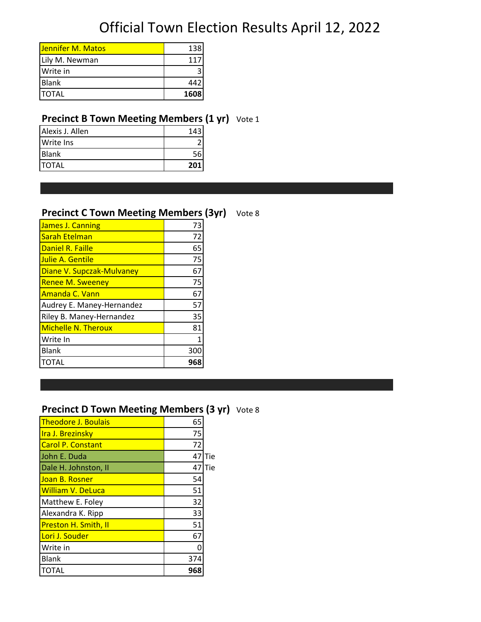| Jennifer M. Matos | 138  |
|-------------------|------|
| Lily M. Newman    | 11   |
| Write in          |      |
| <b>Blank</b>      | 44.  |
| <b>TOTAL</b>      | 1608 |

#### **Precinct B Town Meeting Members (1 yr)** Vote 1

| Alexis J. Allen  | 143 |
|------------------|-----|
| <b>Write Ins</b> |     |
| <b>Blank</b>     |     |
| <b>ITOTAL</b>    | 201 |

#### **Precinct C Town Meeting Members (3yr)** Vote 8

| James J. Canning           | 73  |
|----------------------------|-----|
| <b>Sarah Etelman</b>       | 72  |
| Daniel R. Faille           | 65  |
| <b>Julie A. Gentile</b>    | 75  |
| Diane V. Supczak-Mulvaney  | 67  |
| <b>Renee M. Sweeney</b>    | 75  |
| <b>Amanda C. Vann</b>      | 67  |
| Audrey E. Maney-Hernandez  | 57  |
| Riley B. Maney-Hernandez   | 35  |
| <b>Michelle N. Theroux</b> | 81  |
| Write In                   |     |
| <b>Blank</b>               | 30C |
| TAL                        | 968 |

### **Precinct D Town Meeting Members (3 yr)** Vote 8

| <b>Theodore J. Boulais</b>  | 65  |     |
|-----------------------------|-----|-----|
| <b>Ira J. Brezinsky</b>     | 75  |     |
| <b>Carol P. Constant</b>    | 72  |     |
| John E. Duda                | 47  | Tie |
| Dale H. Johnston, II        | 47  | Tie |
| Joan B. Rosner              | 54  |     |
| <b>William V. DeLuca</b>    | 51  |     |
| Matthew E. Foley            | 32  |     |
| Alexandra K. Ripp           | 33  |     |
| <b>Preston H. Smith, II</b> | 51  |     |
| Lori J. Souder              | 67  |     |
| Write in                    | O   |     |
| <b>Blank</b>                | 374 |     |
| <b>TOTAL</b>                | 968 |     |